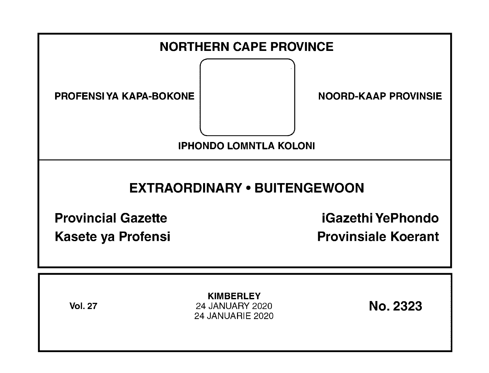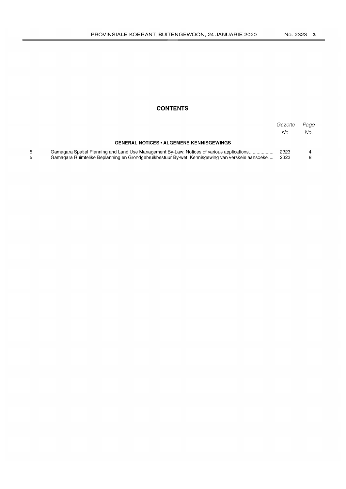## **CONTENTS**

|                                                                                                                                                                                               | Gazette<br>No. | Page<br>No. |
|-----------------------------------------------------------------------------------------------------------------------------------------------------------------------------------------------|----------------|-------------|
| <b>GENERAL NOTICES • ALGEMENE KENNISGEWINGS</b>                                                                                                                                               |                |             |
| Gamagara Spatial Planning and Land Use Management By-Law: Notices of various applications<br>Gamagara Ruimtelike Beplanning en Grondgebruikbestuur By-wet: Kennisgewing van verskeie aansoeke | 2323<br>2323   |             |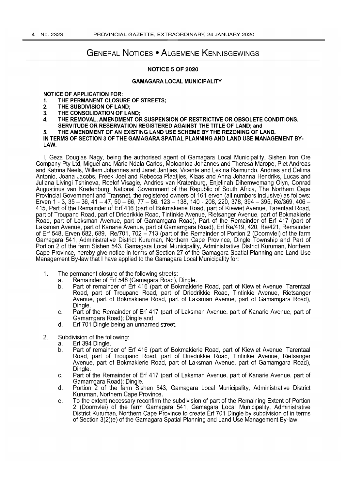# GENERAL NOTICES • ALGEMENE KENNISGEWINGS

### NOTICE 5 OF 2020

### GAMAGARA LOCAL MUNICIPALITY

### NOTICE OF APPLICATION FOR:

- 1. THE PERMANENT CLOSURE OF STREETS;<br>2. THE SUBDIVISION OF LAND:
- THE SUBDIVISION OF LAND:
- 3. THE CONSOLIDATION OF LAND;
- 4. THE REMOVAL, AMENDMENT OR SUSPENSION OF RESTRICTIVE OR OBSOLETE CONDITIONS,
- SERVITUDE OR RESERVATION REGISTERED AGAINST THE TITLE OF LAND; and
- 5. THE AMENDMENT OF AN EXISTING LAND USE SCHEME BY THE REZONING OF LAND.

IN TERMS OF SECTION 3 OF THE GAMAGARA SPATIAL PLANNING AND LAND USE MANAGEMENT BY-LAW.

I, Geza Douglas Nagy, being the authorised agent of Gamagara Local Municipality, Sishen Iron Ore Company Pty Ltd, Miguel and Maria Ndala Carlos, Moloantoa Johannes and Theresa Marope, Piet Andreas and Katrina Neels, Willem Johannes and Janet Jantjies, Vicente and Lekina Raimundo, Andrias and Celima Antonio, Joana Jacobs, Freek Joel and Rebecca Plaatjies, Klaas and Anna Johanna Hendriks, Lucas and Juliana Livingi Tshineva, Roelof Visagie, Andries van Kratenburg, Enjelinah Dihemwemang Olyn, Conrad Augustinus van Kradenburg, National Government of the Republic of South Africa, The Northem Cape Provincial Govemment and Transnet, the registered owners of 161 erven (all numbers inclusive) as follows: Erven 1 - 3, 35 – 36, 41 – 47, 50 – 66, 77 – 86, 123 – 138, 140 - 208, 220, 378, 394 – 395, Ré/369, 406 – 415, Part of the Remainder of Erf 416 (part of Bokmakierie Road, part of Kiewiet Avenue, Tarentaal Road, part of Troupand Road, part of Driedrikkie Road, Tintinkie Avenue, Rietsanger Avenue, part of Bokmakierie Road, part of Laksman Avenue, part of Gamamgara Road), Part of the Remainder of Erf 417 (part of Laksman Avenue, part of Kanarie Avenue, part of Gamamgara Road), Erf Re/419, 420, Re/421 , Remainder of Erf 548, Erven 682, 689, Re/701, 702 - 713 (part of the Remainder of Portion 2 (Doornvlei) of the farm Gamagara 541, Administrative District Kuruman, Northern Cape Province, Dingle Township and Part of Portion 2 of the farm Sishen 543, Gamagara Local Municipality, Administrative District Kuruman, Northern Cape Province, hereby give notice in terms of Section 27 of the Gamagara Spatial Planning and Land Use Management By-law that I have applied to the Gamagara Local Municipality for:

- 1. The permanent closure of the following streets:
	- a. Remainder of Erf 548 (Gamagara Road), Dingle.
	- b. Part of remainder of Erf 416 (part of Bokmakierie Road, part of Kiewiet Avenue, Tarentaal Road, part of Troupand Road, part of Driedrikkie Road, Tintinkie Avenue, Rietsanger Avenue, part of Bokmakierie Road, part of Laksman Avenue, part of Gamamgara Road), Dingle.
	- c. Part of the Remainder of Erf 417 (part of Laksman Avenue, part of Kanarie Avenue, part of Gamamgara Road); Dingle and
	- d. Erf 701 Dingle being an unnamed street.
- 2. Subdivision of the following:
	- a. Erf 394 Dingle.
	- b. Part of remainder of Erf 416 (part of Bokmakierie Road, part of Kiewiet Avenue, Tarentaal Road, part of Troupand Road, part of Driedrikkie Road, Tintinkie Avenue, Rietsanger Avenue, part of Bokmakierie Road, part of Laksman Avenue, part of Gamamgara Road), Dingle.
	- c. Part of the Remainder of Erf 417 (part of Laksman Avenue, part of Kanarie Avenue, part of Gamamgara Road); Dingle.
	- d. Portion 2 of the farm Sishen 543, Gamagara Local Municipality, Administrative District Kuruman, Northern Cape Province.
	- e. To the extent necessary reconfirm the subdivision of part of the Remaining Extent of Portion 2 (Doornvlei) of the farm Gamagara 541, Gamagara Local Municipality, Administrative District Kuruman, Northern Cape Province to create Erf 701 Dingle by subdivision of in terms of Section 3(2)(e) of the Gamagara Spatial Planning and Land Use Management By-law.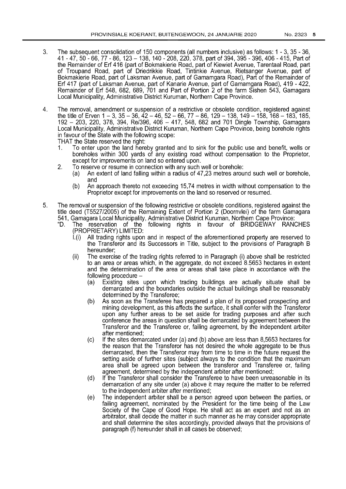- 3. The subsequent consolidation of 150 components (all numbers inclusive) as follows: 1 3, 35 36, 41 - 47,50 - 66,77 - 86,123 -138,140 - 208,220,378, part of 394,395 - 396, 406 - 415, Part of the Remainder of Erf 416 (part of Bokmakierie Road, part of Kiewiet Avenue, Tarentaal Road, part of Troupand Road, part of Driedrikkie Road, Tintinkie Avenue, Rietsanger Avenue, part of Bokmakierie Road, part of Laksman Avenue, part of Gamamgara Road), Part of the Remainder of Erf 417 (part of Laksman Avenue, part of Kanarie Avenue, part of Gamamgara Road), 419 - 422, Remainder of Erf 548, 682, 689, 701 and Part of Portion 2 of the farm Sishen 543, Gamagara Local Municipality, Administrative District Kuruman, Northern Cape Province.
- 4. The removal, amendment or suspension of a restrictive or obsolete condition, registered against the title of Erven  $1 - 3$ ,  $35 - 36$ ,  $42 - 46$ ,  $52 - 66$ ,  $77 - 86$ ,  $129 - 138$ ,  $149 - 158$ ,  $168 - 183$ ,  $185$ . 192 - 203, 220, 378, 394, Re/396, 406 - 417, 548, 682 and 701 Dingle Township, Gamagara Local Municipality, Administrative District Kuruman, Northern Cape Province, being borehole rights in favour of the State with the following scope:

THAT the State reserved the right:

- 1. To enter upon the land hereby granted and to sink for the public use and benefit, wells or boreholes within 300 yards of any existing road without compensation to the Proprietor, except for improvements on land so entered upon.
- 2. To reserve or resume in connection with any such well or borehole:
	- (a) An extent of land falling within a radius of 47,23 metres around such well or borehole, and
	- (b) An approach thereto not exceeding 15,74 metres in width without compensation to the Proprietor except for improvements on the land so reserved or resumed.
- 5. The removal or suspension of the following restrictive or obsolete conditions, registered against the title deed (T5527/2005) of the Remaining Extent of Portion 2 (Doornvlei) of the farm Gamagara
	- 541, Gamagara Local Municipality, Administrative District Kuruman, Northern Cape Province:<br>"D. The reservation of the following rights in favour of BRIDGEWAY RAN The reservation of the following rights in favour of BRIDGEWAY RANCHES (PROPRIETARY) LIMITED:
		- I.(i) All trading rights upon and in respect of the aforementioned property are reserved to the Transferor and its Successors in Title, subject to the provisions of Paragraph B hereunder;
		- (ii) The exercise of the trading rights referred to in Paragraph (i) above shall be restricted to an area or areas which, in the aggregate, do not exceed 8.5653 hectares in extent and the determination of the area or areas shall take place in accordance with the following procedure -
			- (a) Existing sites upon which trading buildings are actually situate shall be demarcated and the boundaries outside the actual buildings shall be reasonably determined by the Transferee;
			- (b) As soon as the Transferee has prepared a plan of its proposed prospecting and mining development, as this affects the surface, it shall confer with the Transferor upon any further areas to be set aside for trading purposes and after such conference the areas in question shall be demarcated by agreement between the Transferor and the Transferee or, failing agreement, by the independent arbiter after mentioned;
			- (c) If the sites demarcated under (a) and (b) above are less than 8,5653 hectares for the reason that the Transferor has not desired the whole aggregate to be thus demarcated, then the Transferor may from time to time in the future request the setting aside of further sites (subject always to the condition that the maximum area shall be agreed upon between the transferor and Transferee or, failing agreement, determined by the independent arbiter after mentioned;
			- (d) If the Transferor shall consider the Transferee to have been unreasonable in its demarcation of any site under (a) above it may require the matter to be referred to the independent arbiter after mentioned;
			- (e) The independent arbiter shall be a person agreed upon between the parties, or failing agreement, nominated by the President for the time being of the Law Society of the Cape of Good Hope. He shall act as an expert and not as an arbitrator, shall decide the matter in such manner as he may consider appropriate and shall determine the sites accordingly, provided always that the provisions of paragraph (f) hereunder shall in all cases be observed;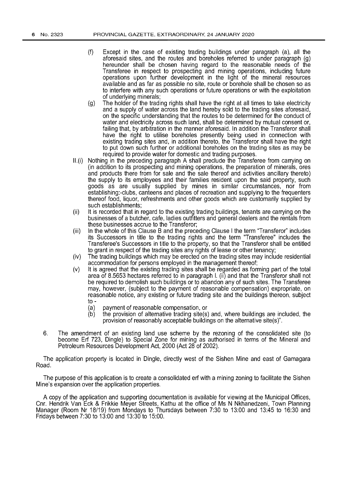- (f) Except in the case of existing trading buildings under paragraph (a), all the aforesaid sites, and the routes and boreholes referred to under paragraph (g) hereunder shall be chosen having regard to the reasonable needs of the Transferee in respect to prospecting and mining operations, including future operations upon further development in the light of the mineral resources available and as far as possible no site, route or borehole shall be chosen so as to interfere with any such operations or future operations or with the exploitation of underlying minerals;
- (g) The holder of the trading rights shall have the right at all times to take electricity and a supply of water across the land hereby sold to the trading sites aforesaid, on the specific understanding that the routes to be determined for the conduct of water and electricity across such land, shall be determined by mutual consent or, failing that, by arbitration in the manner aforesaid. In addition the Transferor shall have the right to utilise boreholes presently being used in connection with existing trading sites and, in addition thereto, the Transferor shall have the right to put down such further or additional boreholes on the trading sites as may be required to provide water for domestic and trading purposes.
- $II.(i)$ Nothing in the preceding paragraph A shall preclude the Transferee from carrying on (in addition to its prospecting and mining operations, the preparation of minerals, ores and products there from for sale and the sale thereof and activities ancillary thereto) the supply to its employees and their families resident upon the said property, such goods as are usually supplied by mines in similar circumstances, nor from establishing:-clubs, canteens and places of recreation and supplying to the frequenters thereof food, liquor, refreshments and other goods which are customarily supplied by such establishments;
- (ii) It is recorded that in regard to the existing trading buildings, tenants are carrying on the businesses of a butcher, cafe, ladies outfitters and general dealers and the rentals from these businesses accrue to the Transferor;
- (iii) In the whole of this Clause B and the preceding Clause I the term "Transferor" includes its Successors in title to the trading rights and the term "Transferee" includes the Transferee's Successors in title to the property, so that the Transferor shall be entitled to grant in respect of the trading sites any rights of lease or other tenancy;
- (iv) The trading buildings which may be erected on the trading sites may include residential accommodation for persons employed in the management thereof;
- (v) It is agreed that the existing trading sites shall be regarded as forming part of the total area of 8.5653 hectares referred to in paragraph I. (ii) and that the Transferor shall not be required to demolish such buildings or to abandon any of such sites. The Transferee may, however, (subject to the payment of reasonable compensation) expropriate, on reasonable notice, any existing or future trading site and the buildings thereon, subject to -
	- (a) payment of reasonable compensation, or
	- $(b)$ the provision of alternative trading site(s) and, where buildings are included, the provision of reasonably acceptable buildings on the alternative site(s)".
- 6. The amendment of an existing land use scheme by the rezoning of the consolidated site (to become Erf 723, Dingle) to Special Zone for mining as authorised in terms of the Mineral and Petroleum Resources Development Act, 2000 (Act 28 of 2002).

The application property is located in Dingle, directly west of the Sishen Mine and east of Gamagara Road.

The purpose of this application is to create a consolidated erf with a mining zoning to facilitate the Sishen Mine's expansion over the application properties.

A copy of the application and supporting documentation is available for viewing at the Municipal Offices, Cnr. Hendrik Van Eck & Frikkie Meyer Streets, Kathu at the office of Ms N Nkhanedzeni, Town Planning Manager (Room Nr 18/19) from Mondays to Thursdays between 7:30 to 13:00 and 13:45 to 16:30 and Fridays between 7:30 to 13:00 and 13:30 to 15:00.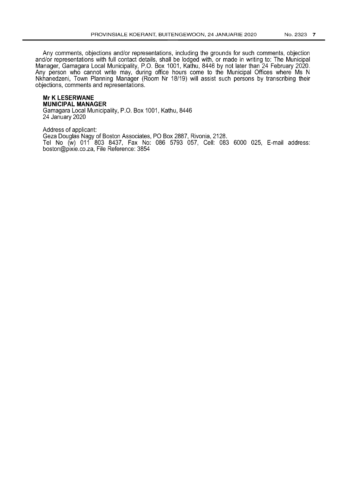Any comments, objections and/or representations, including the grounds for such comments, objection and/or representations with full contact details, shall be lodged with, or made in writing to: The Municipal Manager, Gamagara Local Municipality, P.O. Box 1001, Kathu, 8446 by not later than 24 February 2020. Any person who cannot write may, during office hours come to the Municipal Offices where Ms N Nkhanedzeni, Town Planning Manager (Room Nr 18/19) will assist such persons by transcribing their objections, comments and representations.

# **Mr K LESERWANE MUNICIPAL MANAGER**

Gamagara Local Municipality, P.O. Box 1001, Kathu, 8446 24 January 2020

Address of applicant: Geza Douglas Nagy of Boston Associates, PO Box 2887, Rivonia, 2128. Tel No (w) 011 803 8437, Fax No: 086 5793 057, Cell: 083 6000 025, E-mail address: boston@pixie.co.za, File Reference: 3854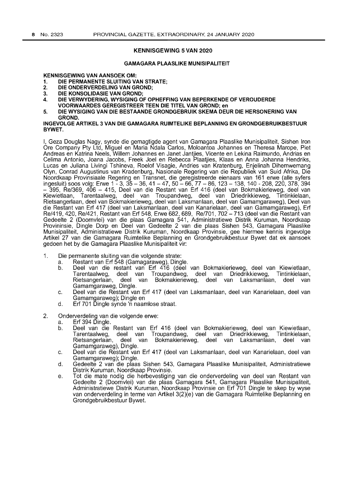### KENNISGEWING 5 VAN 2020

#### GAMAGARA PLAASLIKE MUNISIPALITEIT

KENNISGEWING VAN AANSOEK OM:

- 1. DIE PERMANENTE SLUITING VAN STRATE;<br>2. DIE ONDERVERDELING VAN GROND:
- 2. DIE ONDERVERDELING VAN GROND;<br>3. DIE KONSOLIDASIE VAN GROND:
- DIE KONSOLIDASIE VAN GROND:
- 4. DIE VERWYDERING, WYSIGING OF OPHEFFING VAN BEPERKENDE OF VEROUDERDE VOORWAARDES GEREGISTREER TEEN DIE TITEL VAN GROND; en
- 5. DIE WYSIGING VAN DIE BESTAANDE GRONDGEBRUIK SKEMA DEUR DIE HERSONERING VAN GROND.

#### INGEVOLGE ARTIKEL 3 VAN DIE GAMAGARA RUIMTELIKE BEPLANNING EN GRONDGEBRUIKBESTUUR BYWET.

I, Geza Douglas Nagy, synde die gemagtigde agent van Gamagara Plaaslike Munisipaliteit, Sishen Iron Ore Company Pty Ltd, Miguel en Maria Ndala Carlos, Moloantoa Johannes en Theresa Marope, Piet Andreas en Katrina Neels, Willem Johannes en Janet Jantjies, Vicente en Lekina Raimundo, Andrias en Celima Antonio, Joana Jacobs, Freek Joel en Rebecca Plaatjies, Klaas en Anna Johanna Hendriks, Lucas en Juliana Livingi Tshineva, Roelof Visagie, Andries van Kratenburg, Enjelinah Dihemwemang Olyn, Conrad Augustinus van Kradenburg, Nasionale Regering van die Republiek van Suid Afrika, Die Noordkaap Provinsiaale Regering en Transnet, die geregistreerde eienaars van 161 erwe (aile syfers ingesluit) soos volg: Erwe 1 - 3, 35 – 36, 41 – 47, 50 – 66, 77 – 86, 123 – 138, 140 - 208, 220, 378, 394 - 395, Re/369, 406 - 415, Deel van die Restant van Erf 416 (deel van Bokmakierieweg, deel van Kiewietlaan, Tarentaalweg, deel van Troupandweg, deel van Driedrikkieweg, Tintinkielaan, Rietsangerlaan, deel van Bokmakierieweg, deel van Laksmanlaan, deel van Gamamgaraweg), Deel van die Restant van Erf 417 (deel van Laksmanlaan, deel van Kanarielaan, deel van Gamamgaraweg), Erf Re/419, 420, Re/421 , Restant van Erf 548, Erwe 682, 689, Re/701, 702 - 713 (deel van die Restant van Gedeelte 2 (Doornvlei) van die plaas Gamagara 541, Administratiewe Distrik Kuruman, Noordkaap Provininsie, Dingle Dorp en Deel van Gedeelte 2 van die plaas Sishen 543, Gamagara Plaaslike Munisipaliteit, Administratiewe Distrik Kuruman, Noordkaap Provinsie, gee hiermee kennis ingevolge Artikel 27 van die Gamagara Ruimtelike Beplanning en Grondgebruikbestuur Bywet dat ek aansoek gedoen het by die Gamagara Plaaslike Munisipaliteit vir:

- 1. Die permanente sluiting van die volgende strate:
	- a. Restant van Erf 548 (Gamagaraweg), Dingle.
	- Deel van die restant van Erf 416 (deel van Bokmakierieweg, deel van Kiewietlaan,<br>Tarentaalweg, deel van Troupandweg, deel van Driedrikkieweg, Tintinkielaan, Tarentaalweg, deel van Troupandweg, deel van Driedrikkieweg, Tintinkielaan, Rietsangerlaan, deel van Bokmakierieweg, deel van Laksmanlaan, deel van Gamamgaraweg, Dingle.
	- c. Deel van die Restant van Erf 417 (deel van Laksmanlaan, deel van Kanarielaan, deel van Gamamgaraweg); Dingle en
	- d. Erf 701 Dingle synde 'n naamlose straat.
- 2. Onderverdeling van die volgende erwe:
	- a. Erf 394 Dingle.
	- b. Deel van die Restant van Erf 416 (deel van Bokmakierieweg, deel van Kiewietlaan, Tarentaalweg, deel van Troupandweg, deel van Driedrikkieweg, Tintinkielaan, deel van Bokmakierieweg, Gamamgaraweg), Dingle.
	- c. Deel van die Restant van Erf 417 (deel van Laksmanlaan, deel van Kanarielaan, deel van Gamamgaraweg); Dingle.
	- d. Gedeelte 2 van die plaas Sishen 543, Gamagara Plaaslike Munisipaliteit, Administratiewe Distrik Kuruman, Noordkaap Provinsie.
	- e. Tot die mate nodig die herbevestiging van die onderverdeling van deel van Restant van Gedeelte 2 (Doornvlei) van die plaas Gamagara 541, Gamagara Plaaslike Munisipaliteit, Administratiewe Distrik Kuruman, Noordkaap Provinsie on Erf 701 Dingle te skep by wyse van onderverdeling in terme van Artikel 3(2)(e) van die Gamagara Ruimtelike Beplanning en Grondgebruikbestuur Bywet.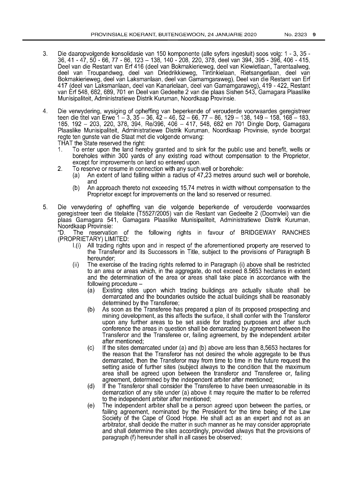- 3. Die daaropvolgende konsolidasie van 150 komponente (aile syfers ingesluit) soos volg: 1 3, 35 36,41 - 47,50 - 66,77 - 86,123 - 138,140 - 208,220,378, deel van 394, 395 - 396, 406 - 415, Deel van die Restant van Erf 416 (deel van Bokmakierieweg, deel van Kiewietlaan, Tarentaalweg, deel van Troupandweg, deel van Driedrikkieweg, Tintinkielaan, Rietsangerlaan, deel van Bokmakierieweg, deel van Laksmanlaan, deel van Gamamgaraweg), Deel van die Restant van Erf 417 (deel van Laksmanlaan, deel van Kanarielaan, deel van Gamamgaraweg), 419 - 422, Restant van Erf 548,682,689,701 en Deel van Gedeelte 2 van die plaas Sishen 543, Gamagara Plaaslike Munisipaliteit, Administratiewe Distrik Kuruman, Noordkaap Provinsie.
- 4. Die verwydering, wysiging of opheffing van beperkende of verouderde voorwaardes geregistreer teen die titel van Erwe 1 – 3, 35 – 36, 42 – 46, 52 – 66, 77 – 86, 129 – 138, 149 – 158, 168 – 183, 185, 192 - 203, 220, 378, 394, Re/396, 406 - 417, 548, 682 en 701 Dingle Dorp, Gamagara Plaaslike Munisipaliteit, Administratiewe Distrik Kuruman, Noordkaap Provinsie, synde boorgat regte ten gunste van die Staat met die volgende omvang:

THAT the State reserved the right:<br>1. To enter upon the land here

- 1. To enter upon the land hereby granted and to sink for the public use and benefit, wells or boreholes within 300 yards of any existing road without compensation to the Proprietor, except for improvements on land so entered upon.
- 2. To reserve or resume in connection with any such well or borehole:
	- (a) An extent of land falling within a radius of 47,23 metres around such well or borehole, and
	- (b) An approach thereto not exceeding 15,74 metres in width without compensation to the Proprietor except for improvements on the land so reserved or resumed.
- 5. Die verwydering of opheffing van die volgende beperkende of verouderde voorwaardes geregistreer teen die titelakte (T5527/2005) van die Restant van Gedeelte 2 (Doornvlei) van die plaas Gamagara 541, Gamagara Plaaslike Munisipaliteit, Administratiewe Distrik Kuruman, Noordkaap Provinsie:

"D. The reservation of the following rights in favour of BRIDGEWAY RANCHES (PROPRIETARY) LIMITED:

- I.(i) All trading rights upon and in respect of the aforementioned property are reserved to the Transferor and its Successors in Title, subject to the provisions of Paragraph B hereunder;
- (ii) The exercise of the trading rights referred to in Paragraph (i) above shall be restricted to an area or areas which, in the aggregate, do not exceed 8.5653 hectares in extent and the determination of the area or areas shall take place in accordance with the following procedure -
	- (a) Existing sites upon which trading buildings are actually situate shall be demarcated and the boundaries outside the actual buildings shall be reasonably determined by the Transferee;
	- (b) As soon as the Transferee has prepared a plan of its proposed prospecting and mining development, as this affects the surface, it shall confer with the Transferor upon any further areas to be set aside for trading purposes and after such conference the areas in question shall be demarcated by agreement between the Transferor and the Transferee or, failing agreement, by the independent arbiter after mentioned;
	- (c) If the sites demarcated under (a) and (b) above are less than 8,5653 hectares for the reason that the Transferor has not desired the whole aggregate to be thus demarcated, then the Transferor may from time to time in the future request the setting aside of further sites (subject always to the condition that the maximum area shall be agreed upon between the transferor and Transferee or, failing agreement, determined by the independent arbiter after mentioned;
	- (d) If the Transferor shall consider the Transferee to have been unreasonable in its demarcation of any site under (a) above it may require the matter to be referred to the independent arbiter after mentioned;
	- (e) The independent arbiter shall be a person agreed upon between the parties, or failing agreement, nominated by the President for the time being of the Law Society of the Cape of Good Hope. He shall act as an expert and not as an arbitrator, shall decide the matter in such manner as he may consider appropriate and shall determine the sites accordingly, provided always that the provisions of paragraph (f) hereunder shall in all cases be observed;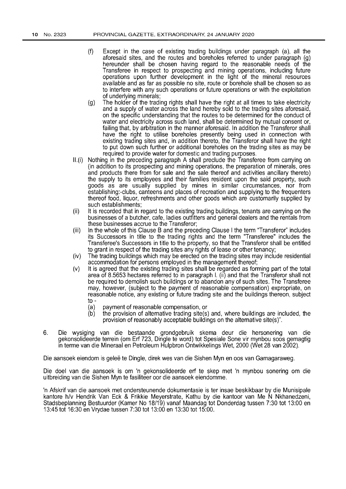- (f) Except in the case of existing trading buildings under paragraph (a), all the aforesaid sites, and the routes and boreholes referred to under paragraph (g) hereunder shall be chosen having regard to the reasonable needs of the Transferee in respect to prospecting and mining operations, including future operations upon further development in the light of the mineral resources available and as far as possible no site, route or borehole shall be chosen so as to interfere with any such operations or future operations or with the exploitation of underlying minerals;
- (g) The holder of the trading rights shall have the right at all times to take electricity and a supply of water across the land hereby sold to the trading sites aforesaid, on the specific understanding that the routes to be determined for the conduct of water and electricity across such land, shall be determined by mutual consent or, failing that, by arbitration in the manner aforesaid. In addition the Transferor shall have the right to utilise boreholes presently being used in connection with existing trading sites and, in addition thereto, the Transferor shall have the right to put down such further or additional boreholes on the trading sites as may be required to provide water for domestic and trading purposes.
- $II.$ (i) Nothing in the preceding paragraph A shall preclude the Transferee from carrying on (in addition to its prospecting and mining operations, the preparation of minerals, ores and products there from for sale and the sale thereof and activities ancillary thereto) the supply to its employees and their families resident upon the said property, such goods as are usually supplied by mines in similar circumstances, nor from establishing:-clubs, canteens and places of recreation and supplying to the frequenters thereof food, liquor, refreshments and other goods which are customarily supplied by such establishments;
- (ii) It is recorded that in regard to the existing trading buildings, tenants are carrying on the businesses of a butcher, cafe, ladies outfitters and general dealers and the rentals from these businesses accrue to the Transferor;
- (iii) In the whole of this Clause B and the preceding Clause I the term "Transferor" includes its Successors in title to the trading rights and the term "Transferee" includes the Transferee's Successors in title to the property, so that the Transferor shall be entitled to grant in respect of the trading sites any rights of lease or other tenancy;
- (iv) The trading buildings which may be erected on the trading sites may include residential accommodation for persons employed in the management thereof;
- (v) It is agreed that the existing trading sites shall be regarded as forming part of the total area of 8.5653 hectares referred to in paragraph I. (ii) and that the Transferor shall not be required to demolish such buildings or to abandon any of such sites. The Transferee may, however, (subject to the payment of reasonable compensation) expropriate, on reasonable notice, any existing or future trading site and the buildings thereon, subject to -
	- (a) payment of reasonable compensation, or
	- (b) the provision of alternative trading site(s) and, where buildings are included, the provision of reasonably acceptable buildings on the alternative site(s)".
- 6. Die wysiging van die bestaande grondgebruik skema deur die hersonering van die gekonsolideerde terrein (om Erf 723, Dingle te word) tot Spesiale Sone vir mynbou soos gemagtig in terme van die Mineraal en Petroleum Hulpbron Ontwikkelings Wet, 2000 (Wet 28 van 2002).

Die aansoek eiendom is geleë te Dingle, direk wes van die Sishen Myn en oos van Gamagaraweg.

Die doel van die aansoek is om 'n gekonsolideerde erf te skep met 'n mynbou sonering om die uitbreiding van die Sishen Myn te fasiliteer oor die aansoek eiendomme.

In Afskrif van die aansoek met ondersteunende dokumentasie is ter insae beskikbaar by die Munisipale kantore hlv Hendrik Van Eck & Frikkie Meyerstrate, Kathu by die kantoor van Me N Nkhanedzeni, Stadsbeplanning Bestuurder (Kamer No 18/19) vanaf Maandag tot Donderdag tussen 7:30 tot 13:00 en 13:45 tot 16:30 en Vrydae tussen 7:30 tot 13:00 en 13:30 tot 15:00.